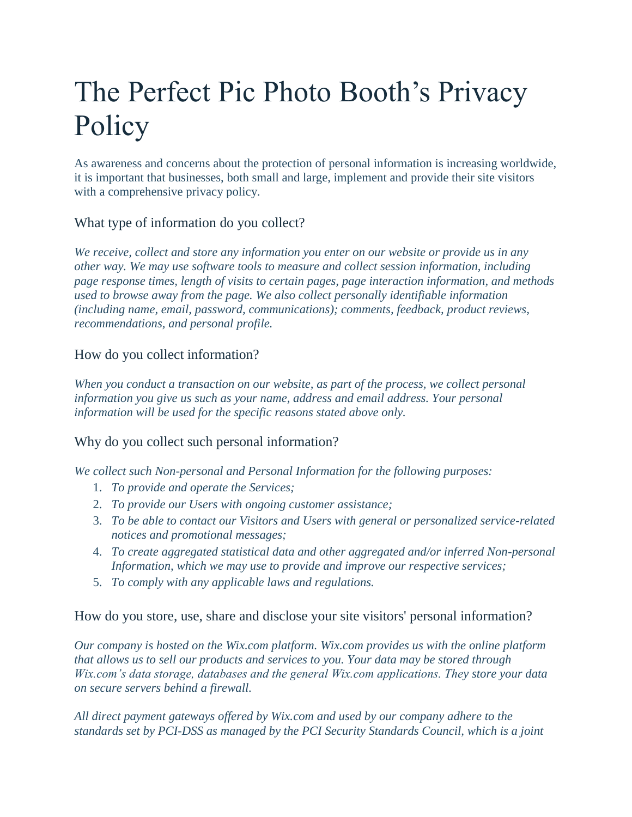# The Perfect Pic Photo Booth's Privacy Policy

As awareness and concerns about the protection of personal information is increasing worldwide, it is important that businesses, both small and large, implement and provide their site visitors with a comprehensive privacy policy.

## What type of information do you collect?

*We receive, collect and store any information you enter on our website or provide us in any other way. We may use software tools to measure and collect session information, including page response times, length of visits to certain pages, page interaction information, and methods used to browse away from the page. We also collect personally identifiable information (including name, email, password, communications); comments, feedback, product reviews, recommendations, and personal profile.*

## How do you collect information?

*When you conduct a transaction on our website, as part of the process, we collect personal information you give us such as your name, address and email address. Your personal information will be used for the specific reasons stated above only.*

## Why do you collect such personal information?

*We collect such Non-personal and Personal Information for the following purposes:*

- 1. *To provide and operate the Services;*
- 2. *To provide our Users with ongoing customer assistance;*
- 3. *To be able to contact our Visitors and Users with general or personalized service-related notices and promotional messages;*
- 4. *To create aggregated statistical data and other aggregated and/or inferred Non-personal Information, which we may use to provide and improve our respective services;*
- 5. *To comply with any applicable laws and regulations.*

How do you store, use, share and disclose your site visitors' personal information?

*Our company is hosted on the Wix.com platform. Wix.com provides us with the online platform that allows us to sell our products and services to you. Your data may be stored through Wix.com's data storage, databases and the general Wix.com applications. They store your data on secure servers behind a firewall.*

*All direct payment gateways offered by Wix.com and used by our company adhere to the standards set by PCI-DSS as managed by the PCI Security Standards Council, which is a joint*